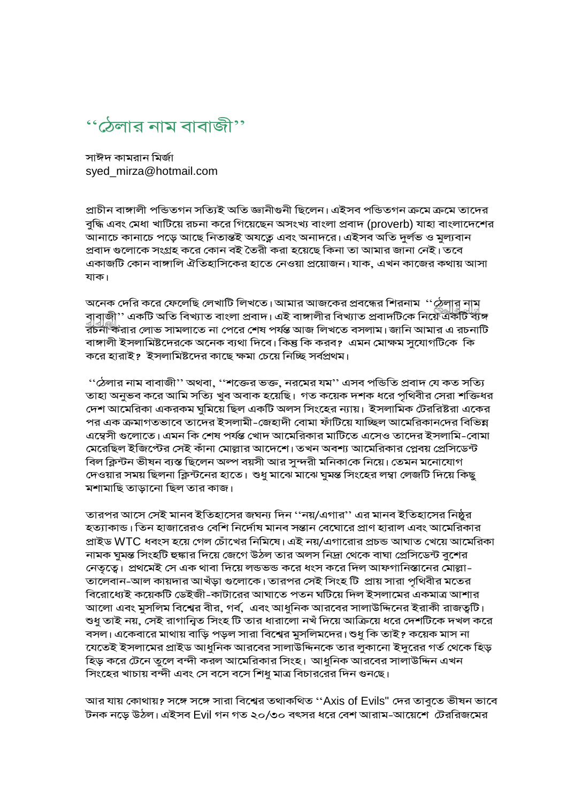

সাঈদ কামরান মির্জা syed\_mirza@hotmail.com

প্ৰাচীন বাঙ্গালী পভিতগন সত্যিই অতি জ্ঞানীগুনী ছিলেন। এইসব পভিতগন ক্ৰমে ক্ৰমে তাদের বুদ্ধি এবং মেধা খাটিয়ে রচনা করে গিয়েছেন অসংখ্য বাংলা প্রবাদ (proverb) যাহা বাংলাদেশের আনাচে কানাচে পড়ে আছে নিতান্তই অযত্নে এবং অনাদরে। এইসব অতি দুর্লভ ও মুল্যবান প্রবাদ গুলোকে সংগ্রহ করে কোন বই তৈরী করা হয়েছে কিনা তা আমার জানা নেই। তবে একাজটি কোন বাঙ্গালি ঐতিহাসিকের হাতে নেওয়া প্রয়োজন। যাক, এখন কাজের কথায় আসা যাক।

অনেক দেরি করে ফেলেছি লেখাটি লিখতে। আমার আজকের প্রবন্ধের শিরনাম ''ঠেলার নাম<br>বাবাজী'' একটি অতি বিখ্যাত বাংলা প্রবাদ। এই বাঙ্গালীর বিখ্যাত প্রবাদটিকে নিয়ে একটি ব্যঙ্গ<br>রচনা করার লোভ সামলাতে না পেরে শেষ পর্যন্ত আজ লিখতে বসলা বাঙ্গালী ইসলামিষ্টদেরকে অনেক ব্যথা দিবে। কিন্তু কি করব? এমন মোক্ষম সুযোগটিকে কি করে হারাই? ইসলামিষ্টদের কাছে ক্ষমা চেয়ে নিচ্ছি সর্বপ্রথম।

''ঠেলার নাম বাবাজী'' অথবা, ''শব্জের ভক্ত, নরমের যম'' এসব পন্ডিতি প্রবাদ যে কত সত্যি তাহা অনুভব করে আমি সত্যি খুব অবাক হয়েছি। গত কয়েক দশক ধরে পৃথিবীর সেরা শক্তিধর দেশ আমেরিকা একরকম ঘুমিয়ে ছিল একটি অলস সিংহের ন্যায়। ইসলামিক টেররিষ্টরা একের পর এক ক্রমাগতভাবে তাদের ইসলামী-জেহাদী বোমা ফাঁটিয়ে যাচ্ছিল আমেরিকানদের বিভিন্ন এম্বেসী গুলোতে। এমন কি শেষ পর্যন্ত খোদ আমেরিকার মাটিতে এসেও তাদের ইসলামি-বোমা মেরেছিল ইজিপ্টের সেই কাঁনা মোল্লার আদেশে। তখন অবশ্য আমেরিকার প্লেবয় প্রেসিডেন্ট বিল ক্লিন্টন ভীষন ব্যস্ত ছিলেন অল্প বয়সী আর সুন্দরী মনিকাকে নিয়ে। তেমন মনোযোগ দেওয়ার সময় ছিলনা ক্লিন্টনের হাতে। শুধু মাঝে মাঝে ঘুমন্ত সিংহের লম্বা লেজটি দিয়ে কিছু মশামাছি তাডানো ছিল তার কাজ।

তারপর আসে সেই মানব ইতিহাসের জঘন্য দিন ''নয়/এগার'' এর মানব ইতিহাসের নিষ্ঠুর হত্যাকান্ড। তিন হাজারেরও বেশি নির্দোষ মানব সন্তান বেঘোরে প্রাণ হারাল এবং আমেরিকার প্রাইড WTC ধবংস হয়ে গেল চোঁখের নিমিষে। এই নয়/এগারোর প্রচন্ড আঘাত খেয়ে আমেরিকা নামক ঘুমন্ত সিংহটি হুঙ্কার দিয়ে জেগে উঠল তার অলস নিদ্রা থেকে বাঘা প্রেসিডেন্ট বুশের নেতৃত্বে। প্রথমেই সে এক থাবা দিয়ে লন্ডভন্ড করে ধংস করে দিল আফগানিস্তানের মোল্লা-তালেবান-আল কায়দার আখঁড়া গুলোকে। তারপর সেই সিংহ টি প্রায় সারা পৃথিবীর মতের বিরোধ্যেই কয়েকটি ডেইজী-কাটারের আঘাতে পতন ঘটিয়ে দিল ইসলামের একমাত্র আশার আলো এবং মুসলিম বিশ্বের বীর, গর্ব, এবং আধুনিক আরবের সালাউদ্দিনের ইরাকী রাজত্বটি। শুধু তাই নয়, সেই রাগান্বিত সিংহ টি তার ধারালো নখঁ দিয়ে আক্রিয়ে ধরে দেশটিকে দখল করে বসল। একেবারে মাথায় বাড়ি পড়ল সারা বিশ্বের মুসলিমদের। শুধু কি তাই? কয়েক মাস না যেতেই ইসলামের প্রাইড আধুনিক আরবের সালাউদ্দিনকে তার লুকানো ইদুরের গর্ত থেকে হিড় হিড় করে টেনে তুলে বন্দী করল আমেরিকার সিংহ। আধুনিক আরবের সালাউদ্দিন এখন সিংহের খাচায় বন্দী এবং সে বসে বসে শিধু মাত্র বিচাররের দিন গুনছে।

আর যায় কোথায়? সঙ্গে সঙ্গে সারা বিশ্বের তথাকথিত ''Axis of Evils" দের তাবুতে ভীষন ভাবে টনক নড়ে উঠল। এইসব Evil গন গত ২০/৩০ বৎসর ধরে বেশ আরাম-আয়েশে টেররিজমের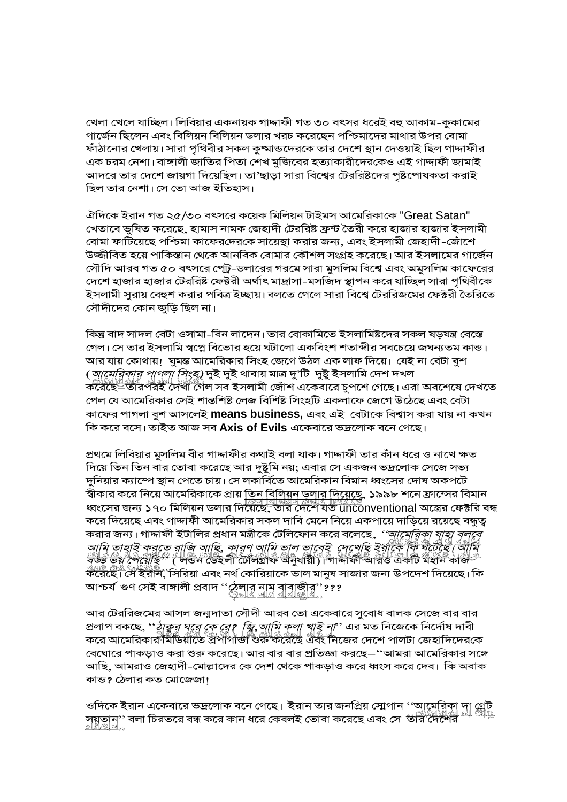খেলা খেলে যাচ্ছিল। লিবিয়ার একনায়ক গাদ্দাফী গত ৩০ বৎসর ধরেই বহু আকাম-কুকামের গার্জেন ছিলেন এবং বিলিয়ন বিলিয়ন ডলার খরচ করেছেন পশ্চিমাদের মাথার উপর বোমা ফাঁঠানোর খেলায়। সারা পৃথিবীর সকল কুষ্মান্ডদেরকে তার দেশে স্থান দেওয়াই ছিল গাদ্দাফীর এক চরম নেশা। বাঙ্গালী জাতির পিতা শেখ মুজিবের হত্যাকারীদেরকেও এই গাদ্দাফী জামাই আদরে তার দেশে জায়গা দিয়েছিল। তা'ছাড়া সারা বিশ্বের টেররিষ্টদের পৃষ্টপোষকতা করাই ছিল তার নেশা। সে তো আজ ইতিহাস।

ঐদিকে ইরান গত ২৫/৩০ বৎসরে কয়েক মিলিয়ন টাইমস আমেরিকাকে "Great Satan" খেতাবে ভুষিত করেছে, হামাস নামক জেহাদী টেররিষ্ট ফ্রন্ট তৈরী করে হাজার হাজার ইসলামী বোমা ফাটিয়েছে পশ্চিমা কাফেরদেরকে সায়েস্থা করার জন্য, এবং ইসলামী জেহাদী-জোঁশে উজ্জীবিত হয়ে পাকিস্তান থেকে আনবিক বোমার কৌশল সংগ্রহ করেছে। আর ইসলামের গার্জেন সৌদি আরব গত ৫০ বৎসরে পেট্র-ডলারের গরমে সারা মুসলিম বিশ্বে এবং অমুসলিম কাফেরের দেশে হাজার হাজার টেররিষ্ট ফেক্টরী অর্থাৎ মাদ্রাসা-মসজিদ স্থাপন করে যাচ্ছিল সারা পৃথিবীকে ইসলামী সুরায় বেহুশ করার পবিত্র ইচ্ছায়। বলতে গেলে সারা বিশ্বে টেররিজমের ফেক্টরী তৈরিতে সৌদীদের কোন জুড়ি ছিল না।

কিন্তু বাদ সাদল বেটা ওসামা-বিন লাদেন। তার বোকামিতে ইসলামিষ্টদের সকল ষড়যন্ত্র বেস্তে গেল। সে তার ইসলামি স্বপ্নে বিভোর হয়ে ঘটালো একবিংশ শতাব্দীর সবচেয়ে জঘন্যতম কান্ড। আর যায় কোথায়। ঘুমন্ত আমেরিকার সিংহ জেগে উঠল এক লাফ দিয়ে। যেই না বেটা বুশ (*আমেরিকার পাগলা সিংহ)* দুই দুই থাবায় মাত্র দু'টি দুষ্টু ইসলামি দেশ দখল<br>করেছে=তীরপরই দেখী গৈল সব ইসলামী জোঁশ একেবারে চুপশে গেছে। এরা অবশেষে দেখতে পেল যে আমেরিকার সেই শান্তশিষ্ট লেজ বিশিষ্ট সিংহটি একলাফে জেগে উঠেছে এবং বেটা কাফের পাগলা বুশ আসলেই means business, এবং এই বেটাকে বিশ্বাস করা যায় না কখন কি করে বসে। তাইত আজ সব **Axis of Evils** একেবারে ভদ্রলোক বনে গেছে।

প্রথমে লিবিয়ার মুসলিম বীর গাদ্দাফীর কথাই বলা যাক। গাদ্দাফী তার কাঁন ধরে ও নাখে ক্ষত দিয়ে তিন তিন বার তোবা করেছে আর দুষ্টুমি নয়; এবার সে একজন ভদ্রলোক সেজে সভ্য দুনিয়ার ক্যাম্পে স্থান পেতে চায়। সে লকার্বিতে আমেরিকান বিমান ধ্বংসের দোষ অকপটে স্বীকার করে নিয়ে আমেরিকাকে প্রায় <u>তিন বিলিয়ন ডলার দিয়েছে,</u> ১৯৯৮ শনে ফ্রান্সের বিমান<br>ধ্বংসের জন্য ১৭০ মিলিয়ন ডলার দিয়েছে, তার দেশে যত unconventional অস্ত্রের ফেক্টরি বন্ধ করে দিয়েছে এবং গাদ্দাফী আমেরিকার সকল দাবি মেনে নিয়ে একপায়ে দাড়িয়ে রয়েছে বন্ধুত্ব করার জন্য। গাদ্দাফী ইটালির প্রধান মন্ত্রীকে টেলিফোন করে বলেছে, *''আমেরিকা যাহা বলবে*<br>সামানী কর্মপ্রাপ্ত কর্মপ্রাপ্ত কর্মপ্রাপ্ত কর্মপ্রাপ্ত কর্মপ্রাপ্ত কর্মপ্রাপ্ত কর্মপ্রাপ্ত কর্মপ্রাপ্ত আমি তাহাই করতে রাজি আছি, কারণ আমি ভাল ভাবেই দেখেছি ইয়াকৈ কি যুঁচেইই। আমি<br>বৃঙ্কি ভয় দৈয়োছ?" ( লভন ভেইলী ঢৌলগ্রীফ অনুযায়ী)। গাদাফী আরও একটি মহান কাজ?<br>করেছে। সে ইরনি, সিরিয়া এবং নর্থ কোরিয়াকে ভাল মানুষ সাজার জন্য উপদে আশ্চর্য গুণ সেই বাঙ্গালী প্রবাদ ''ঠেলার নাম বাবাজীর''???<br>জ<u>্ঞা বাবা ব্রাঞ্জারী নাম</u>

আর টেররিজমের আসল জন্মদাতা সৌদী আরব তো একেবারে সুবোধ বালক সেজে বার বার প্রলাপ বকছে, ''*ঠাকুর ঘূরে কে রে? জি আমি কলা খাই না*'' এর মত নিজেকে নির্দোষ দাবী<br>করে আমেরিকারণমীড়িয়াতে প্রপাগাঁ<del>ঙা ওরু করেছে</del> এবং নিজের দেশে পালটা জেহাদিদেরকে বেঘোরে পাকড়াও করা শুরু করেছে। আর বার বার প্রতিজ্ঞা করছে–''আমরা আমেরিকার সঙ্গে আছি, আমরাও জেহাদী-মোল্লাদের কে দেশ থেকে পাকড়াও করে ধ্বংস করে দেব। কি অবাক কান্ড? ঠেলার কত মোজেজা!

সয়তান'' বলা চিরতরে বন্ধ করে কান ধরে কেবলই তোবা করেছে এবং সে 'তান্ত্রিকিন্তু দা গ্রেট<br>গ্রন্থাতাতা<sub>ঃ</sub>